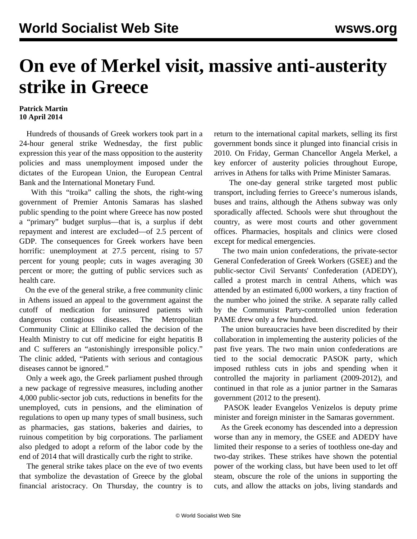## **On eve of Merkel visit, massive anti-austerity strike in Greece**

## **Patrick Martin 10 April 2014**

 Hundreds of thousands of Greek workers took part in a 24-hour general strike Wednesday, the first public expression this year of the mass opposition to the austerity policies and mass unemployment imposed under the dictates of the European Union, the European Central Bank and the International Monetary Fund.

 With this "troika" calling the shots, the right-wing government of Premier Antonis Samaras has slashed public spending to the point where Greece has now posted a "primary" budget surplus—that is, a surplus if debt repayment and interest are excluded—of 2.5 percent of GDP. The consequences for Greek workers have been horrific: unemployment at 27.5 percent, rising to 57 percent for young people; cuts in wages averaging 30 percent or more; the gutting of public services such as health care.

 On the eve of the general strike, a free community clinic in Athens issued an appeal to the government against the cutoff of medication for uninsured patients with dangerous contagious diseases. The Metropolitan Community Clinic at Elliniko called the decision of the Health Ministry to cut off medicine for eight hepatitis B and C sufferers an "astonishingly irresponsible policy." The clinic added, "Patients with serious and contagious diseases cannot be ignored."

 Only a week ago, the Greek parliament pushed through a new package of regressive measures, including another 4,000 public-sector job cuts, reductions in benefits for the unemployed, cuts in pensions, and the elimination of regulations to open up many types of small business, such as pharmacies, gas stations, bakeries and dairies, to ruinous competition by big corporations. The parliament also pledged to adopt a reform of the labor code by the end of 2014 that will drastically curb the right to strike.

 The general strike takes place on the eve of two events that symbolize the devastation of Greece by the global financial aristocracy. On Thursday, the country is to return to the international capital markets, selling its first government bonds since it plunged into financial crisis in 2010. On Friday, German Chancellor Angela Merkel, a key enforcer of austerity policies throughout Europe, arrives in Athens for talks with Prime Minister Samaras.

 The one-day general strike targeted most public transport, including ferries to Greece's numerous islands, buses and trains, although the Athens subway was only sporadically affected. Schools were shut throughout the country, as were most courts and other government offices. Pharmacies, hospitals and clinics were closed except for medical emergencies.

 The two main union confederations, the private-sector General Confederation of Greek Workers (GSEE) and the public-sector Civil Servants' Confederation (ADEDY), called a protest march in central Athens, which was attended by an estimated 6,000 workers, a tiny fraction of the number who joined the strike. A separate rally called by the Communist Party-controlled union federation PAME drew only a few hundred.

 The union bureaucracies have been discredited by their collaboration in implementing the austerity policies of the past five years. The two main union confederations are tied to the social democratic PASOK party, which imposed ruthless cuts in jobs and spending when it controlled the majority in parliament (2009-2012), and continued in that role as a junior partner in the Samaras government (2012 to the present).

 PASOK leader Evangelos Venizelos is deputy prime minister and foreign minister in the Samaras government.

 As the Greek economy has descended into a depression worse than any in memory, the GSEE and ADEDY have limited their response to a series of toothless one-day and two-day strikes. These strikes have shown the potential power of the working class, but have been used to let off steam, obscure the role of the unions in supporting the cuts, and allow the attacks on jobs, living standards and